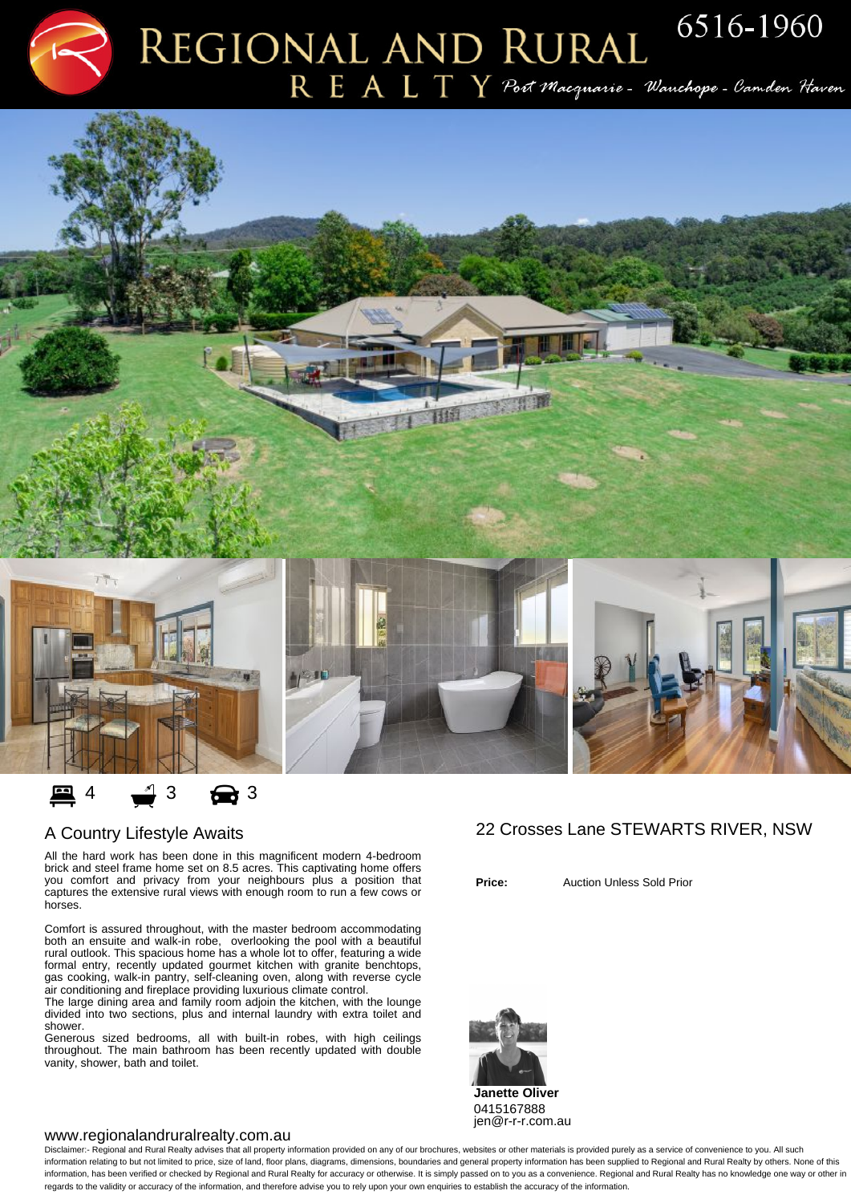$R E A L T Y$  Port Macquarie - Wanchope - Camden Haven



## A Country Lifestyle Awaits

All the hard work has been done in this magnificent modern 4-bedroom brick and steel frame home set on 8.5 acres. This captivating home offers you comfort and privacy from your neighbours plus a position that captures the extensive rural views with enough room to run a few cows or horses.

Comfort is assured throughout, with the master bedroom accommodating both an ensuite and walk-in robe, overlooking the pool with a beautiful rural outlook. This spacious home has a whole lot to offer, featuring a wide formal entry, recently updated gourmet kitchen with granite benchtops, gas cooking, walk-in pantry, self-cleaning oven, along with reverse cycle air conditioning and fireplace providing luxurious climate control.

The large dining area and family room adjoin the kitchen, with the lounge divided into two sections, plus and internal laundry with extra toilet and shower.

Generous sized bedrooms, all with built-in robes, with high ceilings throughout. The main bathroom has been recently updated with double vanity, shower, bath and toilet.

## 22 Crosses Lane STEWARTS RIVER, NSW

**Price:** Auction Unless Sold Prior



## www.regionalandruralrealty.com.au

Disclaimer:- Regional and Rural Realty advises that all property information provided on any of our brochures, websites or other materials is provided purely as a service of convenience to you. All such information relating to but not limited to price, size of land, floor plans, diagrams, dimensions, boundaries and general property information has been supplied to Regional and Rural Realty by others. None of this information, has been verified or checked by Regional and Rural Realty for accuracy or otherwise. It is simply passed on to you as a convenience. Regional and Rural Realty has no knowledge one way or other in regards to the validity or accuracy of the information, and therefore advise you to rely upon your own enquiries to establish the accuracy of the information.